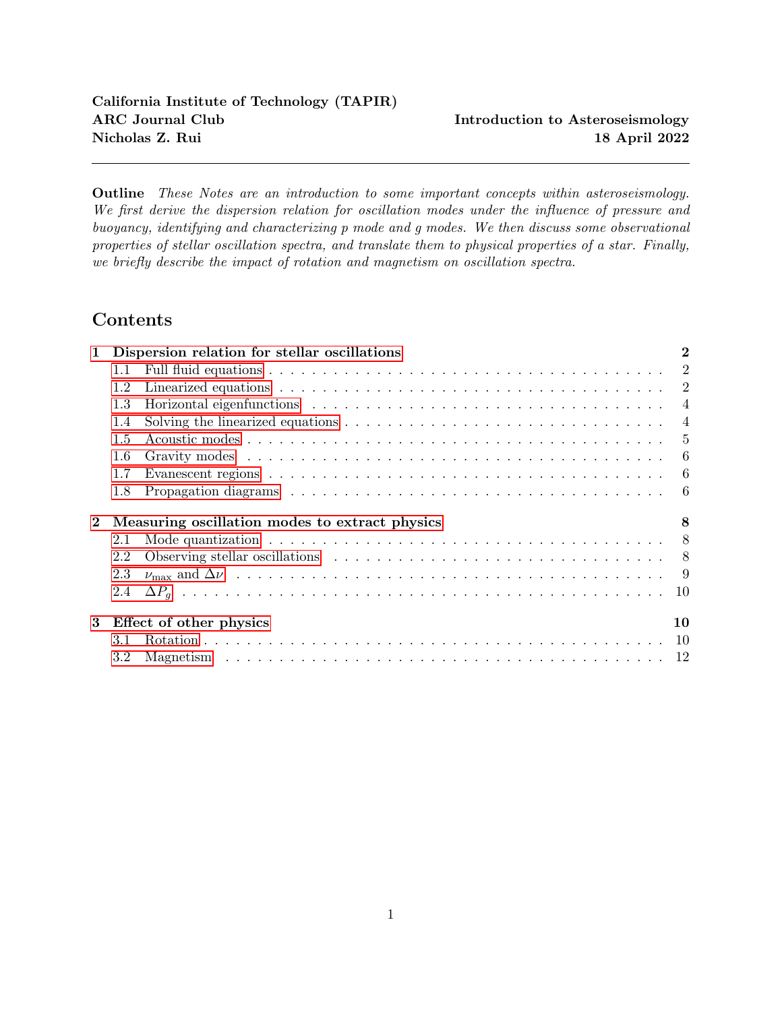Outline These Notes are an introduction to some important concepts within asteroseismology. We first derive the dispersion relation for oscillation modes under the influence of pressure and buoyancy, identifying and characterizing p mode and g modes. We then discuss some observational properties of stellar oscillation spectra, and translate them to physical properties of a star. Finally, we briefly describe the impact of rotation and magnetism on oscillation spectra.

# Contents

| $\mathbf{1}$ |     | Dispersion relation for stellar oscillations                                                               | $\bf{2}$       |
|--------------|-----|------------------------------------------------------------------------------------------------------------|----------------|
|              | 1.1 |                                                                                                            | $\overline{2}$ |
|              | 1.2 |                                                                                                            | $\overline{2}$ |
|              | 1.3 |                                                                                                            | $\overline{4}$ |
|              | 1.4 | Solving the linearized equations $\dots \dots \dots \dots \dots \dots \dots \dots \dots \dots \dots \dots$ | $\overline{4}$ |
|              | 1.5 |                                                                                                            | $\frac{5}{2}$  |
|              | 1.6 |                                                                                                            | 6              |
|              | 1.7 |                                                                                                            | - 6            |
|              | 1.8 | Propagation diagrams $\ldots \ldots \ldots \ldots \ldots \ldots \ldots \ldots \ldots \ldots \ldots \ldots$ |                |
|              |     |                                                                                                            |                |
| $\mathbf 2$  |     | Measuring oscillation modes to extract physics                                                             | 8              |
|              | 2.1 |                                                                                                            |                |
|              | 2.2 |                                                                                                            |                |
|              | 2.3 |                                                                                                            |                |
|              | 2.4 |                                                                                                            |                |
| 3            |     | Effect of other physics                                                                                    | 10             |
|              | 3.1 |                                                                                                            |                |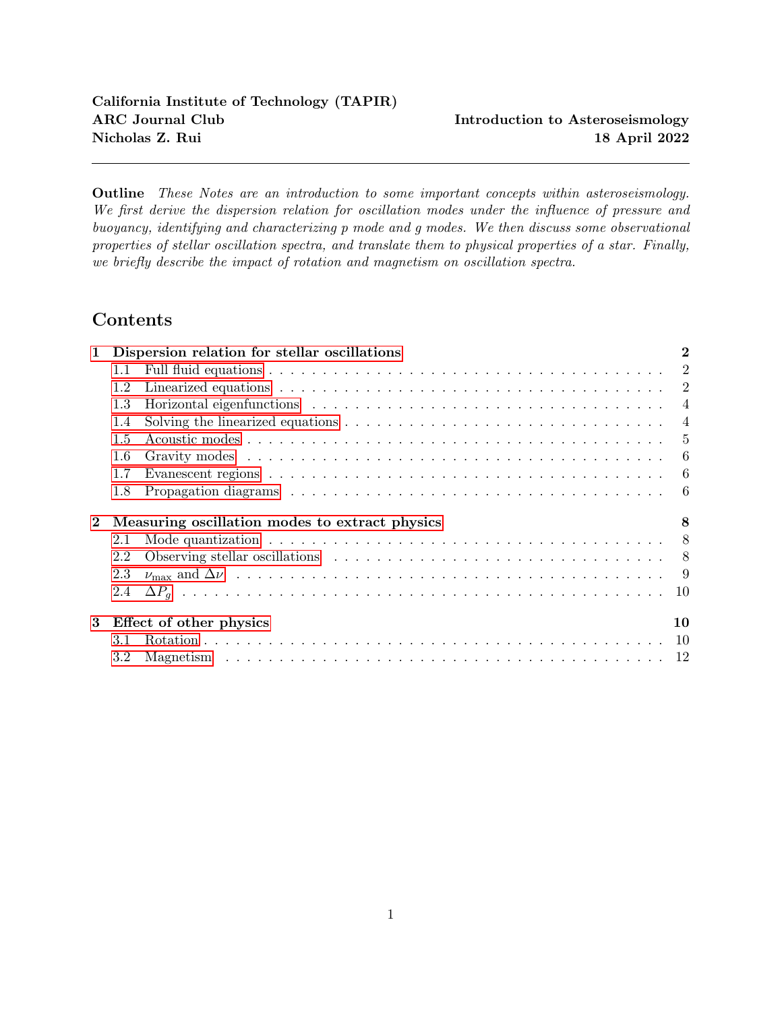## 1 Dispersion relation for stellar oscillations

In this section, we derive a rough radial dispersion relation for non-radial oscillations in perfectly spherical stars under only the influence of pressure and buoyancy. In particular, this means that we neglect effects such as rotation, magnetic fields, and shear restorative forces, all of which may be important in some situations but which dramatically complicate the mathematics.

The derivation shown here can be found in standard texts such as [1].

#### 1.1 Full fluid equations

There are five fluid equations which we should solve simultaneously, reflecting the five fluid properties that we are interested in keeping track of (the density  $\rho$ , pressure  $p$ , and three components of the fluid velocity  $\vec{u}$ ). We will write these equations in terms of the convective derivative (the Lagrangian perspective), tracking the properties of a fluid parcel which we follow as it moves around, i.e.,

$$
\frac{\mathrm{d}f}{\mathrm{d}t} \quad \frac{\partial f}{\partial t} + (\vec{u} \ \ r) \, f \tag{1}
$$

First, the continuity equation is

$$
\frac{\mathrm{d}\rho}{\mathrm{d}t} + \rho \varphi \quad \vec{u} = 0 \tag{2}
$$

The three components of the momentum equation can be written in the form

$$
\rho \frac{\mathrm{d}\vec{u}}{\mathrm{d}t} = r p \quad \rho g \hat{r} \tag{3}
$$

where  $q = q(r)$  is the gravitational acceleration at radius r. Finally, to close the equations, we will write down the **energy equation**, which relates the density of a fluid parcel to its pressure:

$$
\frac{\mathrm{d}\ln p}{\mathrm{d}t} = \gamma \frac{\mathrm{d}\ln \rho}{\mathrm{d}t} \tag{4}
$$

This reflects the **adiabatic** assumption that a given fluid parcel's pressure is related to its density by  $p \nearrow \rho^{\gamma}$ . It is important to note that this relation is *only* true for a given fluid parcel, and the prefactor of this relation depends on the specific entropy of the fluid parcel. In other words, it is very important that we write down Equation 4 with convective, not partial, derivatives.

#### 1.2 Linearized equations

In order to find the oscillation modes of the star, we assume that all of the perturbations are proportional to  $e^{i\omega t}$ . In practice, this means that we can replace time derivatives  $\partial/\partial t$  by  $i\omega$ . Note that the fluid displacements are related to the fluid velocities by  $\vec{u} = d\vec{\xi}/dt$ .

We will also **linearize** the equations by assuming that all perturbations can be decomposed into a large, time-independent equilibrium part and a small perturbation. We can write

$$
\rho(\vec{x},t) = \rho_0(r) + \rho^{\theta}(\vec{x},t) \np(\vec{x},t) = p_0(r) + p^{\theta}(\vec{x},t)
$$
\n(5)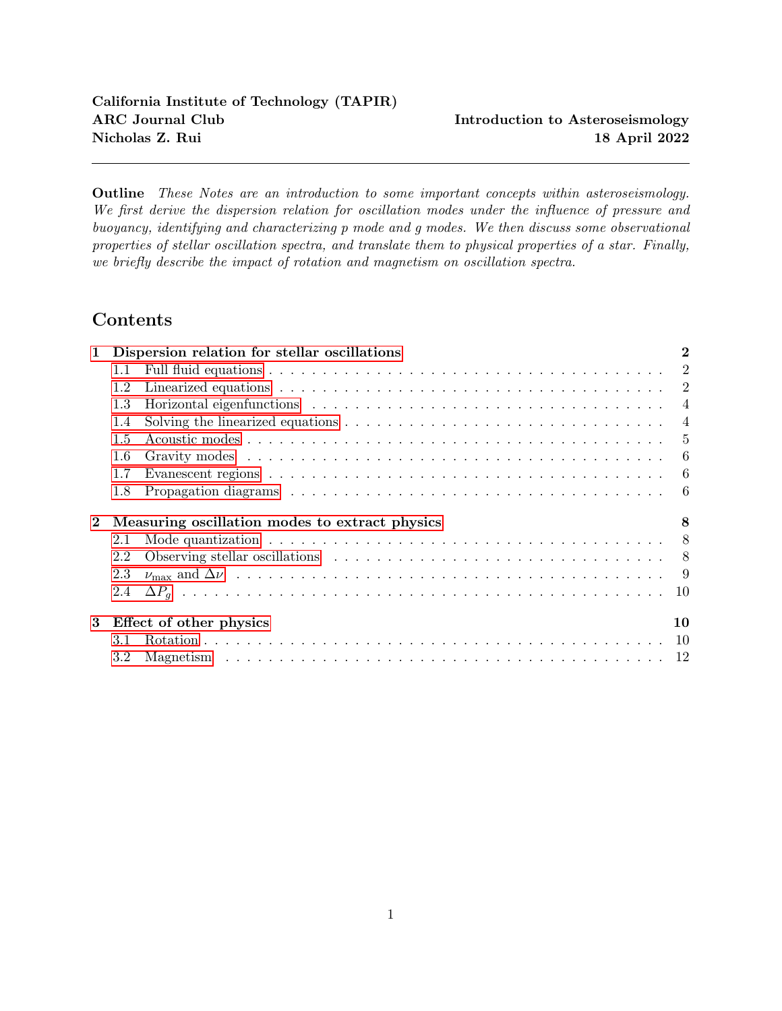Note that the equilibrium fluid displacement/velocity is zero, so  $\vec{u}$  (or  $\vec{\xi}$ ) is already a small quantity. Note that, under this assumption, the convective derivative of a perturbation is the same as its partial time derivative, e.g.,  $d\rho^{\theta}/dt$   $\partial \rho/\partial t$ .

Then, keeping only terms first-order in the perturbations and working in spherical coordinates, we have

$$
\left[\frac{\rho^{\theta}}{\rho_0} + \frac{1}{r^2} \frac{\partial}{\partial r} r^2 \xi_r + r_h \overrightarrow{\xi_h} = 0\right] \quad \text{(continuity)} \tag{6}
$$

where we have defined  $\vec{\xi}_h = \vec{\xi}$   $\xi_r \hat{r}$  to be the horizontal fluid displacement, and  $r_h = r \quad (\partial/\partial r)\hat{r}$ to be the horizontal derivative operator.

The momentum equation becomes

$$
\rho_0 \omega^2 \xi_r = \frac{\partial p^\theta}{\partial r} \quad \rho^\theta g \quad \text{(radial momentum)} \tag{7}
$$

$$
\rho_0 \omega^2 \vec{\xi}_h = r_h p^{\theta} \quad \text{(horizontal momentum)} \tag{8}
$$

We have made the **Cowling approximation**, that the gravity  $q$  remains its equilibrium quantity. Not making this approximation entails writing and solving Poisson's equation, which complicates the mathematics.

For the energy equation, we can expand the convective derivatives, keep only linear terms, and rearrange:

$$
\frac{\rho^{\theta}}{\rho_0} \quad \frac{p^{\theta}}{\gamma p_0} = \xi_r \quad \frac{1}{\gamma} \frac{d \ln p_0}{dr} \quad \frac{d \ln \rho_0}{dr} \tag{9}
$$

Define the **Brunt–Väisälä frequency** (or buoyancy frequency) N as

$$
N^2 \quad g \quad \frac{1}{\gamma} \frac{d \ln p_0}{dr} \quad \frac{d \ln \rho_0}{dr} \tag{10}
$$

Note that  $N^2$  can be either positive or negative. When  $N^2 > 0$ , N corresponds to the frequency of oscillation of a radially displaced fluid parcel in a radiative (i.e., convectively stable, stably stratified) zone. When  $N^2 < 0$ , the zone is convectively unstable and cannot support gravity waves.

We also define the sound speed as

$$
c_s^2 \qquad \frac{\gamma p_0}{\rho_0} \tag{11}
$$

The energy equation then becomes

$$
\boxed{p^{\theta} = \rho^{\theta} c_s^2 \quad \frac{\rho_0 N^2 c_s^2}{g} \xi_r}
$$
 (energy) (12)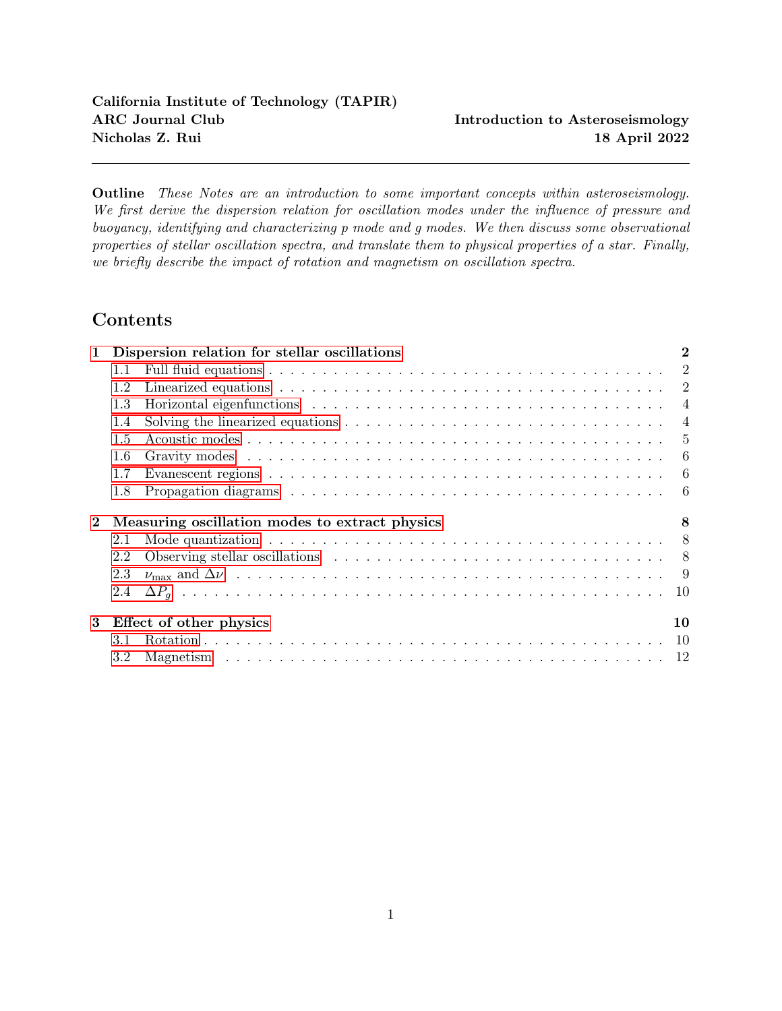Intuitively, this form of the energy equation reflects the two different ways that an Eulerian pressure perturbation can change. The first term on the right hand side simply relates  $p^{\ell}$  to the density perturbation via the sound speed. The second term represents the fact that, when there is some nonzero radial displacement  $\xi_r$ , the fluid parcel which now occupies a given position has a slightly different *equilibrium* pressure (encoded by  $N^2/g$ ).

### 1.3 Horizontal eigenfunctions

Before we try to solve the equations, it would first be beneficial to derive the eigenfunctions of the horizontal Laplacian operator  $\Lambda_k^2$ , whose action on a function  $Y = Y(\theta, \phi)$  is

$$
\Gamma_h^2 Y(\theta, \phi) = \frac{1}{r^2 \sin \theta} \frac{\partial}{\partial \theta} \quad \sin \theta \frac{\partial Y(\theta, \phi)}{\partial \theta} + \frac{1}{r^2 \sin^2 \theta} \frac{\partial^2 Y(\theta, \phi)}{\partial \phi^2}
$$
(13)

Exploiting the axisymmetry of the problem, we can take  $Y(\theta, \phi) = f(\theta)e^{im\phi}$  for an integer m. Then

$$
\tau_h^2 f(\theta) = \frac{1}{r^2 \sin \theta} \frac{d}{d\theta} \quad \sin \theta \frac{df(\theta)}{d\theta} \qquad \frac{m^2}{r^2 \sin^2 \theta} f(\theta) \tag{14}
$$

Now take  $\mu = \cos \theta$ . Then the eigenvalue equation for  $\ell \frac{1}{h}$  for eigenvalue  $\lambda / r^2$  becomes

$$
\frac{\mathrm{d}}{\mathrm{d}\mu} \quad 1 \quad \mu^2 \quad \frac{\mathrm{d}f(\mu)}{\mathrm{d}\mu} \qquad \frac{m^2}{1 - \mu^2} f(\mu) = \lambda f(\mu) \tag{15}
$$

Equation 15 is the general Legendre equation, and is solved by the associated Legendre polynomials  $f(\mu) = P_{\ell}^m(\mu)$  with eigenvalue  $\lambda = \ell(\ell+1)$  such that  $\ell$  m is a non-negative integer.

We then see that the eigenfunctions are the **spherical harmonics**  $Y_{\ell}^{m}(\theta, \phi)$ , defined to be

$$
Y(\theta, \phi) = P_{\ell}^{m}(\cos \theta)e^{im\phi}
$$
\n(16)

#### 1.4 Solving the linearized equations

The broad goal in solving the linearized equations will be to write all the equations in terms of the pressure  $(p^{\ell})$  and radial displacement  $(\xi_r)$  perturbations. First, we take the horizontal divergence of the horizontal momentum equation (Equation 8) to find

$$
\Gamma_h \quad \vec{\xi}_h = \frac{1}{\rho_0 \omega^2} \Gamma_h^2 p^\theta \tag{17}
$$

The energy equation (Equation 12) can be solved for  $\rho^{\theta}$  to obtain

$$
\rho^{\theta} = \frac{1}{c_s^2} p^{\theta} + \frac{\rho_0 N^2}{g} \xi_r
$$
\n(18)

We can then substitute Equations 17 and 18 into the linearized continuity equation (Equation 6) to obtain

$$
\frac{1}{\rho_0 c_s^2} p^\theta + \frac{N^2}{g} \xi_r + \frac{\partial \xi_r}{\partial r} + \frac{2}{r} \xi_r + \frac{1}{\rho_0 \omega^2} r_h^2 p^\theta = 0 \tag{19}
$$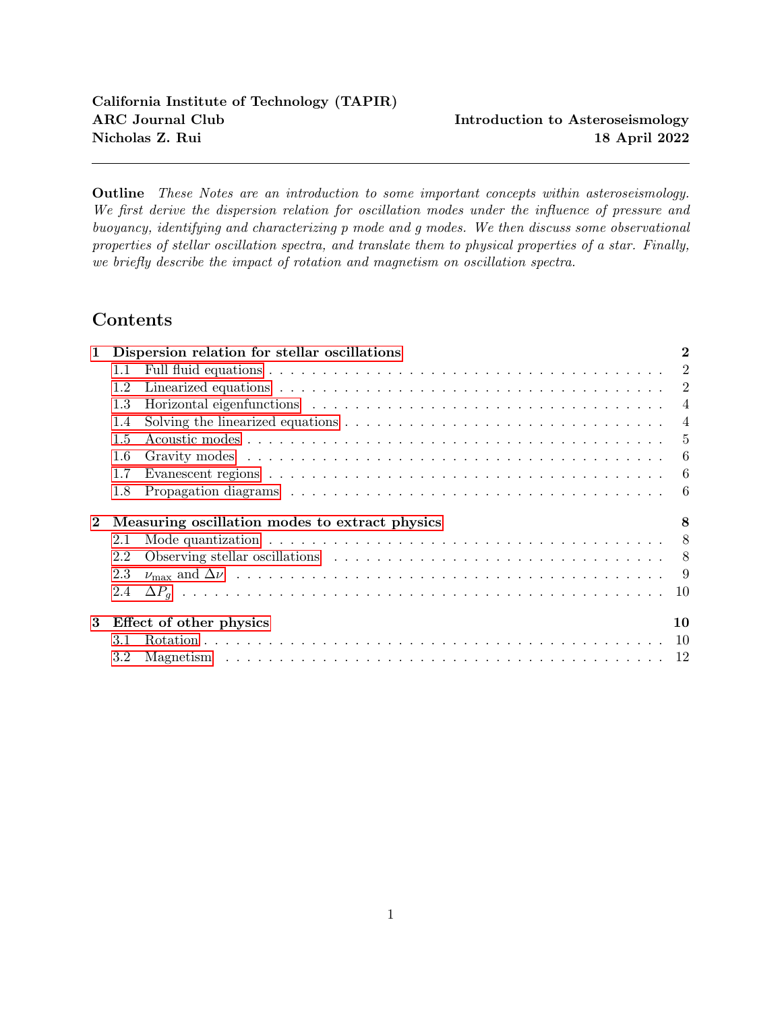Assuming that the horizontal dependences of all of the perturbations are spherical harmonics (Equation 16), Equation 19 becomes

$$
\frac{d r}{dr} = \frac{2}{r} + \frac{N^2}{g} \quad r + \frac{1}{0c_s^2} + \frac{S^2}{1^2} \quad 1 \quad p^0
$$
 (20)

Here, we have de ned the Lamb frequency as

$$
S^2 = \frac{(\dot{r} + 1) c_s^2}{r^2}
$$
 (21)

The Lamb frequency can be interpreted as the frequency of an acoustic wave with horizontal wavenumber kh  $\sqrt{(x+1)}$ =r via S<sup>2</sup> = k<sub>h</sub><sup>2</sup>c<sup>2</sup><sub>s</sub>.

We can also substitute our Equation 18 into Equation 7 to obtain

$$
\frac{dp^{0}}{dr} = 0!^{2} N^{2} r \frac{g}{c_{s}^{2}} p^{0}
$$
 (22)

Equations 20 and 22 give the radial derivatives of  $_r$  and  $p^0$  in terms of  $_r$  and  $p^0$ . As a very rough approximation, we can ignore the rst term of Equation 19 and the second term of Equation 22| for high radial wavenumbers, we can argue that it is approximately ne to neglect terms  $1=r$  or inverse scale heights of equilibrium quantities.

Then, solving for p<sup>0</sup> in Equation 20 and substituting into Equation 22, we obtain a crucial heuristic equation in asteroseismology:

$$
\frac{d^2 r}{dr^2} = \frac{1}{1^2 c_s^2} l^2 N^2 l^2 S^2 r
$$
 (23)

If we roughly write  $\frac{R_r}{r}$  /  $e^{i\frac{R_r}{r}k_r(r^0)dr^0}$  where k<sub>r</sub> 1=r (the Wentzel{Kramers{Brillouin approximation , or WKB approximation), this becomes

$$
k_r^2 c_s^2 = \frac{1}{1^2} l^2 N^2 l^2 S^2
$$
 (24)

## 1.5 Acoustic modes

When !  $2 \& N^2$ ; S<sup>2</sup> (high frequency), the dispersion relation becomes

$$
l^2 = k_r^2 c_s^2 \tag{25}
$$

We recognize this as the acoustic dispersion relation for a sound wave (note that we have already assumed that  $k_r$  k<sub>h</sub> by assuming that terms 1=r are small). This is a pressure wave, also called a p mode .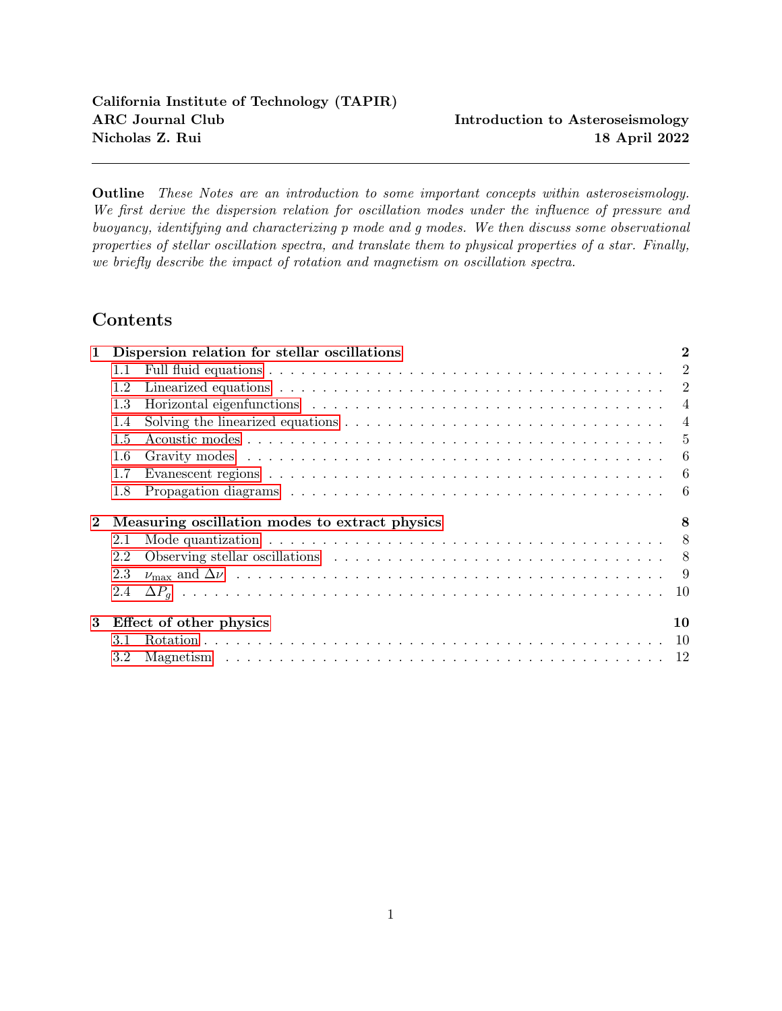## 1.6 Gravity modes

When  $!^2$ . N<sup>2</sup>; S<sup>2</sup> (low frequency), the dispersion relation becomes

$$
!^2 = \frac{k_h^2}{k_f^2} N^2
$$
 (26)

We recognize this as the dispersion relation of gravity waves, or g modes, in the limit where  $k_r$   $k_h$ .

Note that g modes are impossible in convectively unstable regions, those whe $\mathbf{N}^2 < 0$ . In these cases, there can only be p modes when  $2 \& S^2$ .

Note that, even though technically  $N^2$  is nonzero in a convective zone, in practice convection is so e cient at mixing entropy superadiabatically that  $N^2$  will be forced to be very small.

Also, note that  $S_0^2 = 0$ . Therefore, it is not possible for  $\epsilon = 0$  (radial) oscillations to be gravity modes.

## 1.7 Evanescent regions

When ! <sup>2</sup> is in between N <sup>2</sup> and S<sup>2</sup> (either N <sup>2</sup> < ! <sup>2</sup> < S <sup>2</sup> or S<sup>2</sup> < ! <sup>2</sup> < N <sup>2</sup>), the dispersion relation will imply that

$$
k_r^2 < 0 \tag{27}
$$

In other words, waves in these regions are vanescent |they will exponentially grow or decay with radius, but will not be propagating like they would be in the p mode or g mode regions.

### 1.8 Propagation diagrams

A given oscillation mode has a single throughout the entire star, by de nition. Therefore, the propagation diagram is an extremely useful tool in asteroseismology for visualizing the radial structure of a star and the behavior of that star's oscillation modes. One such diagram is shown in Figure 1.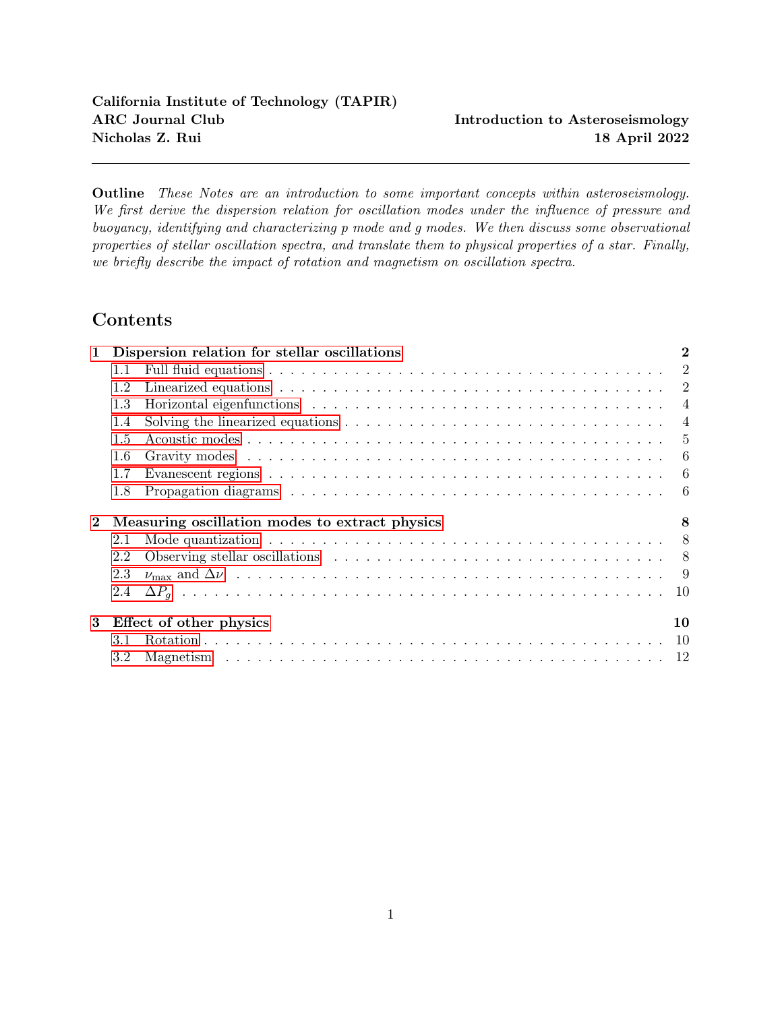Figure 1: A propagation diagram showing the Brunt{Vaisala frequency pro les for three di erent stellar models, as well as the  $= 1$  Lamb frequency pro le for one of them. The p mode region is shown in gray, the g mode region is shown in green, and the evanescent region is shown in green. The horizontal line labeled  $_{max}$  is a representative oscillation frequency. This gure is reproduced from the left panel of Figure 4 in [2].

From Figure 1, a few interesting things can be observed. First, typically the Lamb frequency is larger (sometimes much larger) than the Brunt{Vaisala frequency. This is particularly true in main sequence stars.

We observe that many stars (e.g., red giants, the Sun, etc.) have surface convection zones, meaning that they can only maintain p modes on the surface. If there is also a radially large evanescent region, then it will be very hard to detect g modes, if it is even possible at all.

In some situations, like red giants (like the models shown in Figure 1), the most excited modes lie in regions where the evanescent zone has very small vertical extent. This means that the p mode oscillations at the surface of the star couple to the g mode oscillations at the center of the star, since there is not much amplitude decay within the evanescent region. Such modes are typically called mixed modes , and will have the character of both p modes and g modes. The coincidence that red giants are excited at such convenient frequencies means that g modes can be eectively leveraged to learn about their cores.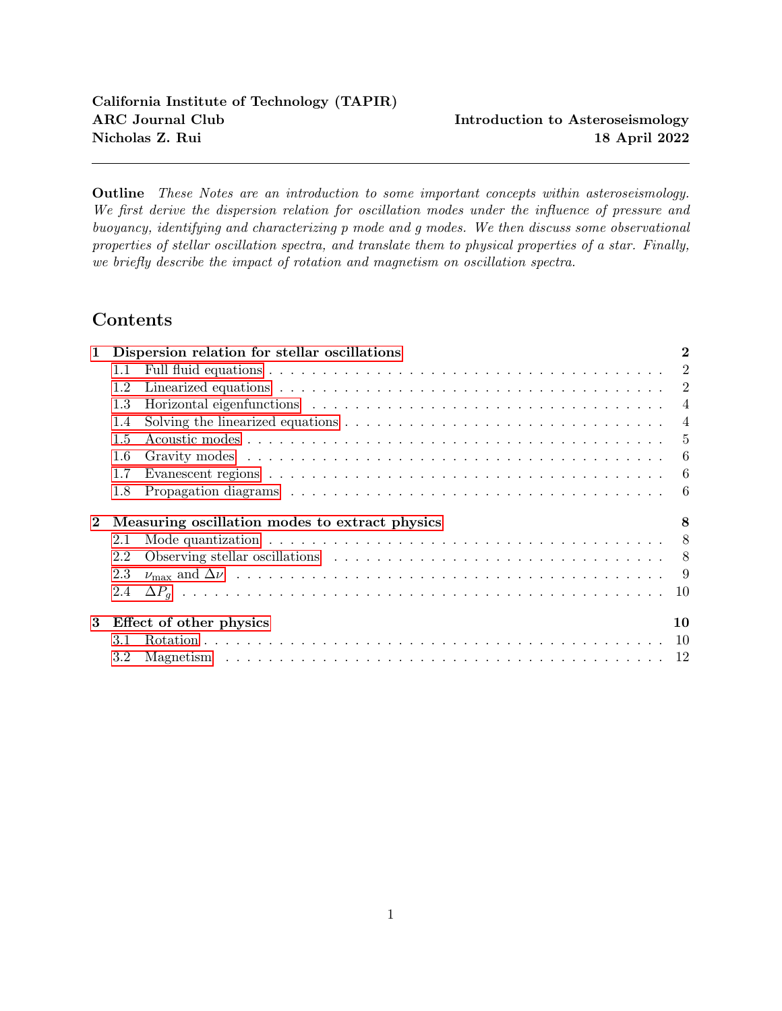# 2 Measuring oscillation modes to extract physics

## 2.1 Mode quantization

A star is a three-dimensional problem. Therefore, we expect three quantization conditions. The rst and second quantization condition came from solving for the horizontal eigenfunctions, giving ` and m as quantum numbers. The nal quantization condition comes from imposing boundary conditions at two radii in the star (usually at the center and the surface), which quantizes the frequencies! which modes can have. It is common to use the Eckart scheme for counting radial orders asn =  $n_p$   $n_g$ , where  $n_p$  and  $n_g$  are the number of zero-crossings in the p mode and g mode regions, respectively [3].

Software such asgyre [4] can be used to nd such modes. However, some heuristics exist for relating features of the mode spectrum to relate properties of a star's oscillation spectrum to the physical parameters of the star.

## 2.2 Observing stellar oscillations

Observationally, oscillation modes can be measured in two dierent ways, and such measurements always re
ect the amplitude of the mode at or near the surface of the star:

- ˆ Photometry: They can be measured by taking thepower spectrum of the light curve of the star, typically over a period of months or even years. The light curve mostly re
ects changes in brightness due to temperature perturbations on the surface of the star.
- ˆ Spectroscopy: They can be measured by tracing theradial velocities of 
uid at the surface of the star.

Because of e ects likegeometric cancellation (adjacent outwards and inwards-moving cells \cancelling" each other out in, e.g., brightness) $p^{\text{it}}$  is extremely hard to measure modes with & 3, with the amplitude of modes decreasing as  $1=$  ` (see, e.g., [5]).

Some examples of oscillation spectra are shown in Figure 2. Asteroseismic observations typically (but do not always) come from big observational surveys such a Kepler, CoRoT, and (more recently) TESS.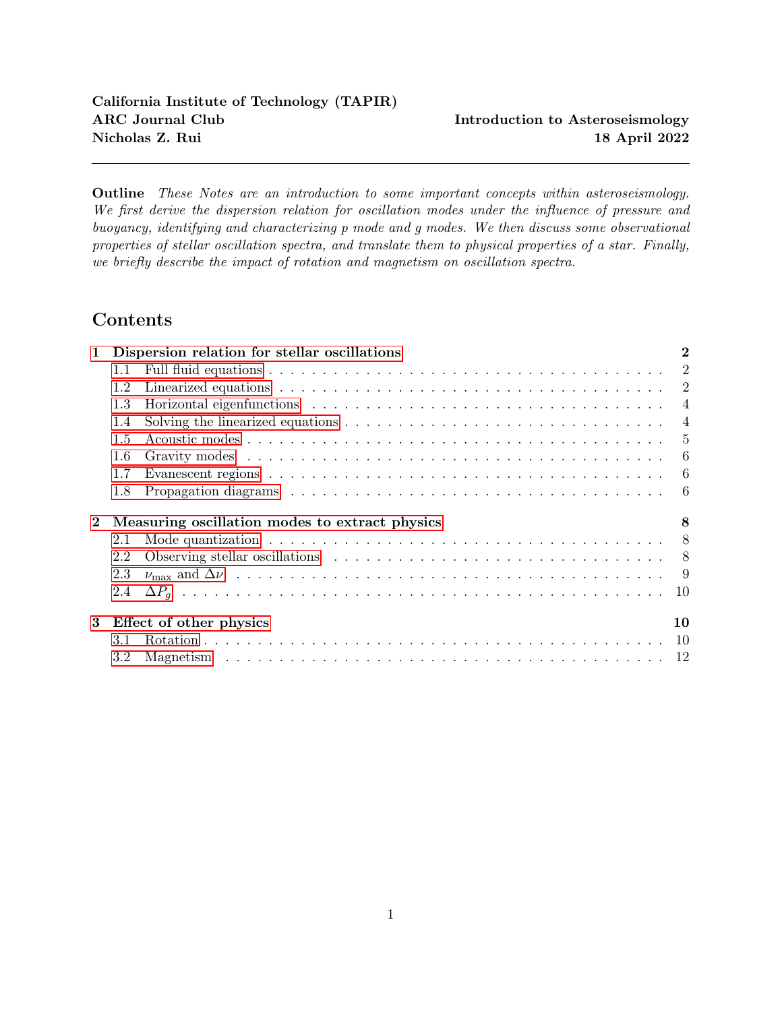Figure 2: Four solar-like oscillation spectra measured byKepler, reproduced from the Figure 3 of [6]. These four stars are all RGB or RC stars.

## 2.3  $_{max}$  and

In this section, I will primarily focus on red giant stars, because of their strong mixed-mode characters.

The power spectrum of a red giant consists of many discrete modes whose amplitudes follow a broad, peaked shape (for examples, see Figure 2). Even though an in nite number of modes exist all across the frequency spectum, not all of those modes wilhecessarily be driven, and driving must come from some physical source.

The rough frequency at which the amplitude of the modes is the highest is called the requency of maximum power or  $_{max}$ . It is di cult to derive  $_{max}$  from rst principles. However, it can be estimated reasonably e ectively by arguing that the oscillations in a red giant will be primarily driven by convective motions in the envelope of the star. In particular, we can estimate that  $_{\text{max}}$ is the frequency of oscillation of a uid blob moving through a pressure scale height  $p = g$  at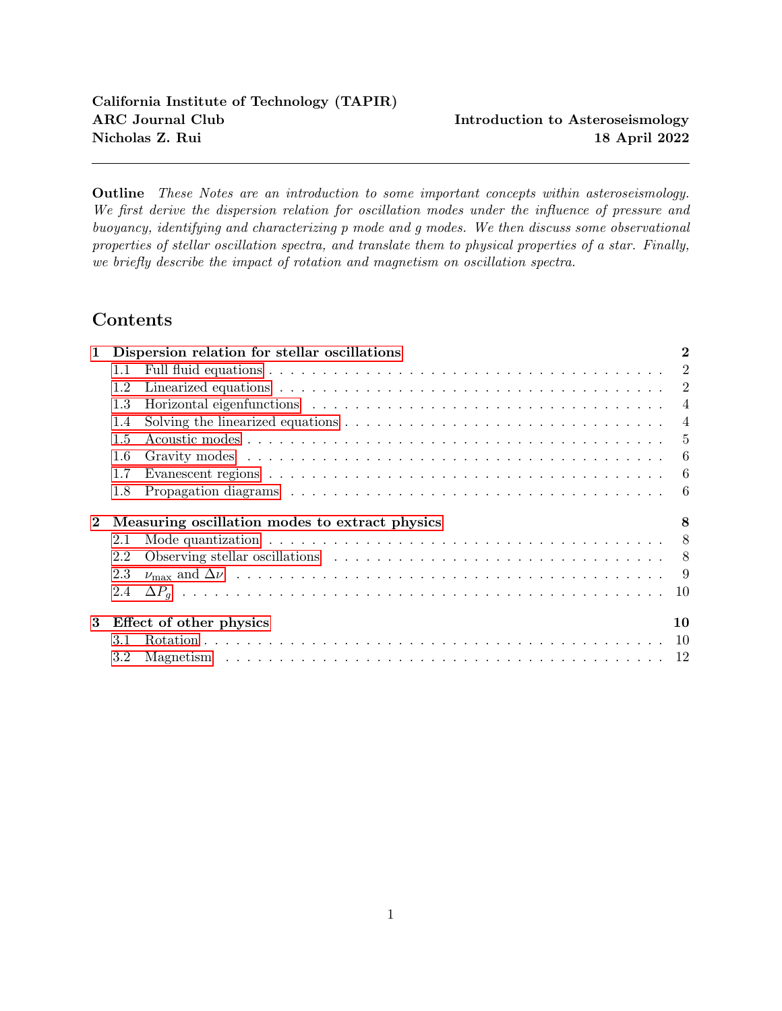the sound spee $\text{d}s$   $p^{1=2}$ =  $^{1=2}$ . Then

$$
\max \quad \frac{c_s}{H_p} \quad \frac{g^{-1=2}}{p^{1=2}} \quad \frac{m^{1=2}g}{k^{1=2}T_e^{1=2}} / MR^{-2}T_e^{-1=2}
$$
 (28)

where we have used the ideal gas law.

Adjacent modes of dierent radial order but the same ` are separated by thelarge frequency spacing by which is roughly the sound-speed crossing time through the entire star. Usings  $p^{1=2}$ = 1=2 GM=R from the characteristic pressure and density scales of a star, we have

$$
\frac{c_s}{R} \quad \frac{P}{G} \quad / \quad M^{1=2}R \quad ^{3=2} \tag{29}
$$

where is the average density of the star.

Together with a measurement of  $T_e$  (usually from stellar photometry), measurements of  $_{max}$  and can be used to extract the mass and radius of a star using Equations 28 and 29 (for some often Sun-based calibration).

### 2.4  $P_{q}$

When mixed modes couple to the gravity wave-dominated core of a star (e.g., a red giant), a given acoustic mode will appear to split in the power spectrum into many modes which are closely spaced by roughly the g mode period spacing  $P_q$ . Note that, unlike in the case with  $\ldots$ , this splitting is roughly equal in period, not frequency.

Heuristically, one imagines that the \same" acoustic mode is coupling to many di erent gravity modes in the core, manifesting in many modes whose frequencies are all approximately (but not exactly) that of the acoustic mode.

The period spacing is roughly given by an integral of the Brunt{Vaisala frequency over the core of the star:

$$
P_g^{-1} = p \frac{2^{2}}{\sqrt{(1+1)}} \frac{Z}{\pi} \frac{N}{r} dr
$$
 (30)

# 3 Eect of other physics

So far, we have described the oscillation modes of a spherical star under pressure and buoyancy only. In this section, we explore the eects of other forces on stellar oscillation spectra.

### 3.1 Rotation

A standard reference for the content of this section is [7].

In addition to distorting the star itself, rotation contributes a Coriolis force (/ ) and centrifugal force (/  $2$ ). It is common to neglect the distortion of the star and the centrifugal force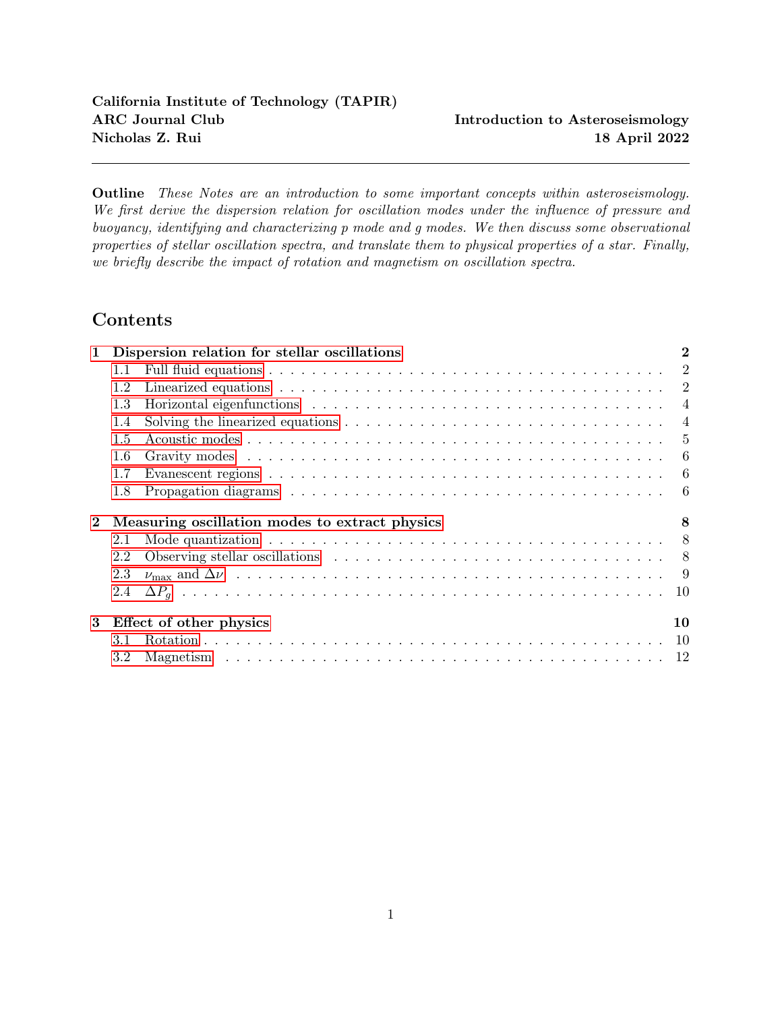for analytical convenience, and only include the Coriolis force in the momentum equation (this is reasonable at low rotation rates).

Rotation breaks the spherical symmetry of the star by dening a special direction via

$$
\approx \wedge z = \cos \wedge \sin \wedge \tag{31}
$$

However, azimuthal symmetry is maintained, and perturbations can still be assumed to be proportional to e<sup>im</sup> for integer m (however, the sign ofm =! determines whether the mode isprograde or retrograde ).

If the WKB approximation is assumed in both directions, it can be shown that the dispersion relation becomes (e.g., [8])

$$
\left[1^2 \frac{k_h^2}{k^2} N^2 \right] \kappa \frac{2}{k} = 0
$$
 (32)

Note that, if  $jNj$   $j$  !  $j$ ;  $j$  (which is typical of, e.g., gravity waves), then  $k_h$  $k_r$ . Therefore,  $~\tilde{}~$   $~$   $~$   $~$   $~$ cos  $k_{r}$ . The realization that the  $^{\wedge}$  component of  $\tilde{ }$  ris less important justi es dropping this component. This approximation is called the traditional approximation of rotation (TAR), and miraculously makes the radial and horizontal 
uid equations separable.

Under the TAR, the dependence  $=$  ( ) are no longer associated Legendre polynomials, but are solutions to the Laplace tidal equation ,

d d 1 2 1 2 2 d-( ) d 1 1 2 2 m<sup>2</sup> 1 2 + m 1 + <sup>2</sup> <sup>2</sup> 1 2 2 ( ) = -( ) (33)

where  $=!$  (note that this becomes the generalized Legendre equation when  $= 0$ ). The horizontal wavenumber then become $\mathbf{\mathbf{\mathbf{g}}}_{h}$  $= r$  (where  $\theta$  `(` + 1) in general).

The functions () are called Hough functions and have some interesting properties.

- $\hat{ }$  For large, the functions become =  $(21 \quad 1)^2$  <sup>2</sup> (where l is the number of nodes). A heuristic argument for this is given in [9], and a more detailed treatment can be found in [10, 11].
- ˆ For large , the > 0 modes become more and more conned to the equatorial region of the star (within  $j \in \mathbb{I}$  = ). Roughly speaking, the combination can be seen to \set the scale" of the function's dependence on .
- $\hat{ }$  For j j > 1, the coe cients of the equation change sign over the domain, and an in nite  $\langle 0 \rangle$ spectrum is present.
- $\hat{I}$  If  $\langle 0, \hat{I} \rangle$  is  $\int_0^2 R_h^2 c_s^2$  $!^2$  N<sup>2</sup> can still be positive even if N<sup>2</sup> < 0 (convective region). Therefore, otherwise unstable gravity modes in theconvective region of the star can be stabilized by the Coriolis force.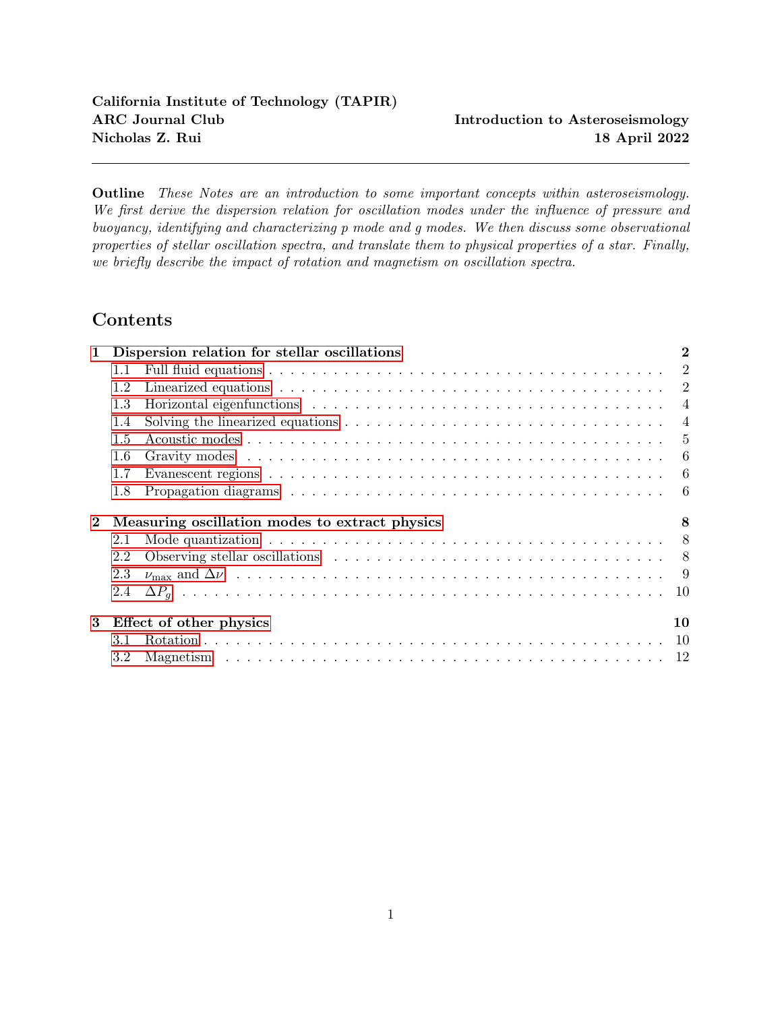Figure 3 shows as a function of for  $m = 2$ .

Figure 3: The eigenvalues of the Laplace tidal equation as a function of for  $m = 2$ , reproduced from Figure 1 of [7].

### 3.2 Magnetism

For a local WKB analysis and specializing to magneto-gravity waves only  $(N; S<sub>c</sub>)$ , the dispersion relation becomes (e.g., [8])

$$
\left|1^2 \frac{k_h^2}{k^2} N^2 \right| \kappa \gamma_A \kappa^2 = 0
$$
 (34)

We note the similarity to Equation 32, except with the Alfven velocity  $v_A$  taking the place of  $2$  =k. We note the similarity  $\beta$  Equation 32, except with the Aliven velocity  $\alpha_A$  taking the place of 2 – A.<br>Note that  $\alpha_A = \kappa B_0 = \frac{4}{4}$  is complicatedly dependent on the magnetic eld geometry, stellar pro le, and  $\kappa$ .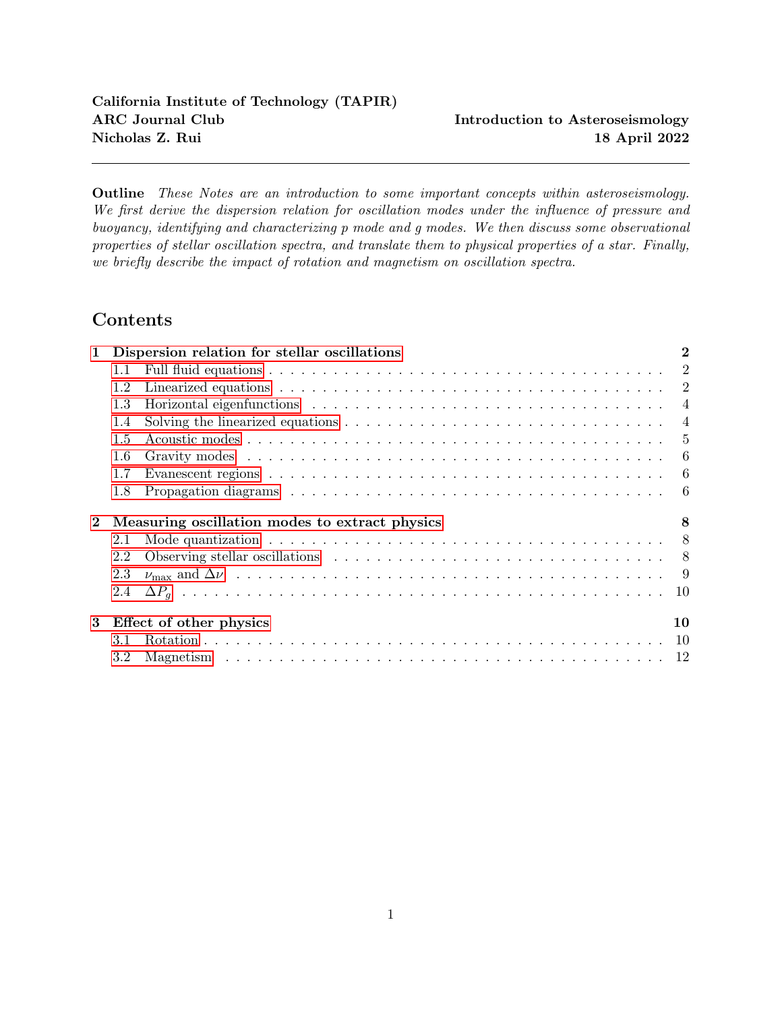Using  $k_r$  k<sub>h</sub> so that  $k$  k<sub>r</sub>, we can write

$$
k_r^4 v_{A,r}^2 \t k_r^2 \omega^2 + k_h^2 N^2 = 0 \t\t(35)
$$

This is a quadratic in  $k_r^2$ , and is solved by (e.g., [12])

$$
k_r^2 = \frac{\omega^2}{2v_{A,r}^2} \, \textcircled{e}_1 \qquad \frac{4v_{A,r}^2 N^2 k_h^2}{\omega^4} \text{A} \tag{36}
$$

We see that  $k_r$  is complex (i.e., not totally propagating) when

$$
\boxed{\omega < \frac{\mathcal{P}}{2k_h v_{A,r} N}}\tag{37}
$$

where  $k_h$  '  $\overline{\ell(\ell+1)}/r$ . This effect has been suspected to be the origin of suppressed dipole oscillation modes in a large minority of red giants (e.g., [13]).

## References

- [1] Jørgen Christensen-Dalsgaard. Lecture notes on stellar oscillations. 1997.
- [2] Nicholas Z Rui and Jim Fuller. Asteroseismic fingerprints of stellar mergers. Monthly Notices of the Royal Astronomical Society, 508(2):1618–1631, 2021.
- [3] Carl Eckart. Hydrodynamics of oceans and atmospheres. Elsevier, 2015.
- [4] RHD Townsend and SA Teitler. Gyre: an open-source stellar oscillation code based on a new magnus multiple shooting scheme. Monthly Notices of the Royal Astronomical Society, 435(4):3406–3418, 2013.
- [5] Gerald Handler. Asteroseismology. arXiv preprint arXiv:1205.6407, 2012.
- [6] William J Chaplin and Andrea Miglio. Asteroseismology of solar-type and red-giant stars. Annual Review of Astronomy and Astrophysics, 51:353–392, 2013.
- [7] Umin Lee and Hideyuki Saio. Low-frequency nonradial oscillations in rotating stars. i. angular dependence. The Astrophysical Journal, 491(2):839, 1997.
- [8] Wasaburo Unno, Yoji Osaki, Hiroyasu Ando, and Hiormoto Shibahashi. Nonradial oscillations of stars. Tokyo: University of Tokyo Press, 1979.
- [9] Lars Bildsten, Greg Ushomirsky, and Curt Cutler. Ocean g-Modes on Rotating Neutron Stars. 460:827, April 1996.
- [10] RHD Townsend. Asymptotic expressions for the angular dependence of low-frequency pulsation modes in rotating stars. Monthly Notices of the Royal Astronomical Society, 340(3):1020–1030, 2003.